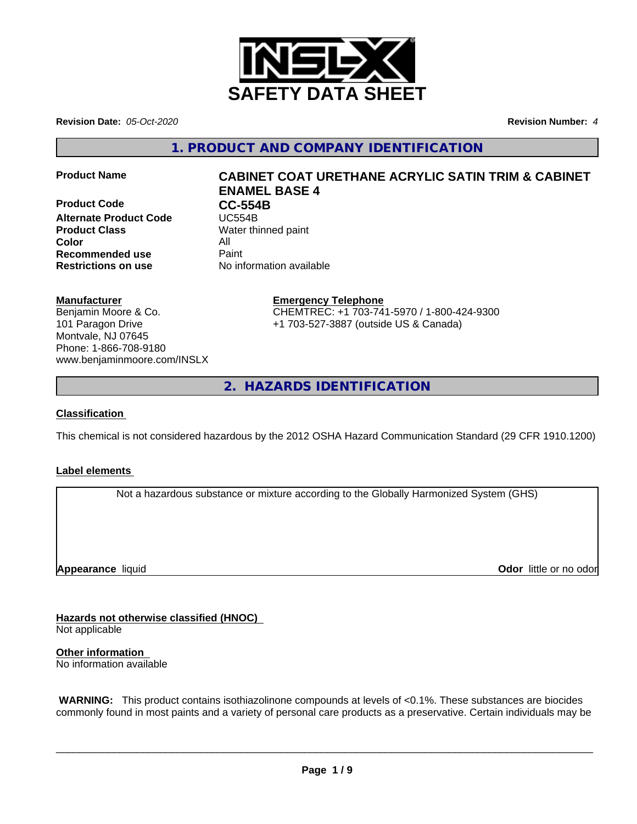

**Revision Date:** *05-Oct-2020* **Revision Number:** *4*

**1. PRODUCT AND COMPANY IDENTIFICATION**

**Product Code CC-554B**<br> **Alternate Product Code CC-554B Alternate Product Code Product Class** Water thinned paint **Color** All **Recommended use** Paint **Restrictions on use** No information available

# **Product Name CABINET COAT URETHANE ACRYLIC SATIN TRIM & CABINET ENAMEL BASE 4**

## **Manufacturer**

Benjamin Moore & Co. 101 Paragon Drive Montvale, NJ 07645 Phone: 1-866-708-9180 www.benjaminmoore.com/INSLX

# **Emergency Telephone**

CHEMTREC: +1 703-741-5970 / 1-800-424-9300 +1 703-527-3887 (outside US & Canada)

**2. HAZARDS IDENTIFICATION**

## **Classification**

This chemical is not considered hazardous by the 2012 OSHA Hazard Communication Standard (29 CFR 1910.1200)

## **Label elements**

Not a hazardous substance or mixture according to the Globally Harmonized System (GHS)

**Appearance** liquid

**Odor** little or no odor

**Hazards not otherwise classified (HNOC)**

Not applicable

**Other information** No information available

 **WARNING:** This product contains isothiazolinone compounds at levels of <0.1%. These substances are biocides commonly found in most paints and a variety of personal care products as a preservative. Certain individuals may be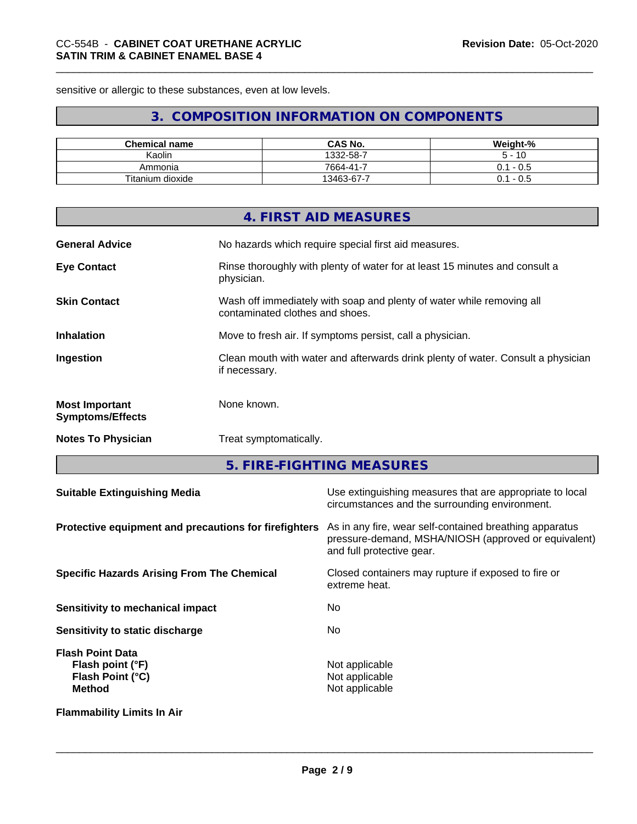sensitive or allergic to these substances, even at low levels.

# **3. COMPOSITION INFORMATION ON COMPONENTS**

| <b>Chemical name</b> | <b>CAS No.</b>     | Weight-%      |
|----------------------|--------------------|---------------|
| Kaolin               | 1332-58-7          | 10            |
| Ammonia              | $7664 - 41 -$<br>- | - U.S<br>υ. ι |
| Titanium dioxide     | -<br>13463-67-7    | - U.S<br>υ. ι |

|                                                  | 4. FIRST AID MEASURES                                                                                    |
|--------------------------------------------------|----------------------------------------------------------------------------------------------------------|
| <b>General Advice</b>                            | No hazards which require special first aid measures.                                                     |
| <b>Eye Contact</b>                               | Rinse thoroughly with plenty of water for at least 15 minutes and consult a<br>physician.                |
| <b>Skin Contact</b>                              | Wash off immediately with soap and plenty of water while removing all<br>contaminated clothes and shoes. |
| <b>Inhalation</b>                                | Move to fresh air. If symptoms persist, call a physician.                                                |
| Ingestion                                        | Clean mouth with water and afterwards drink plenty of water. Consult a physician<br>if necessary.        |
| <b>Most Important</b><br><b>Symptoms/Effects</b> | None known.                                                                                              |
| <b>Notes To Physician</b>                        | Treat symptomatically.                                                                                   |
|                                                  |                                                                                                          |

**5. FIRE-FIGHTING MEASURES**

| <b>Suitable Extinguishing Media</b>                                              | Use extinguishing measures that are appropriate to local<br>circumstances and the surrounding environment.                                   |
|----------------------------------------------------------------------------------|----------------------------------------------------------------------------------------------------------------------------------------------|
| Protective equipment and precautions for firefighters                            | As in any fire, wear self-contained breathing apparatus<br>pressure-demand, MSHA/NIOSH (approved or equivalent)<br>and full protective gear. |
| <b>Specific Hazards Arising From The Chemical</b>                                | Closed containers may rupture if exposed to fire or<br>extreme heat.                                                                         |
| Sensitivity to mechanical impact                                                 | No.                                                                                                                                          |
| Sensitivity to static discharge                                                  | No.                                                                                                                                          |
| <b>Flash Point Data</b><br>Flash point (°F)<br>Flash Point (°C)<br><b>Method</b> | Not applicable<br>Not applicable<br>Not applicable                                                                                           |
| <b>Flammability Limits In Air</b>                                                |                                                                                                                                              |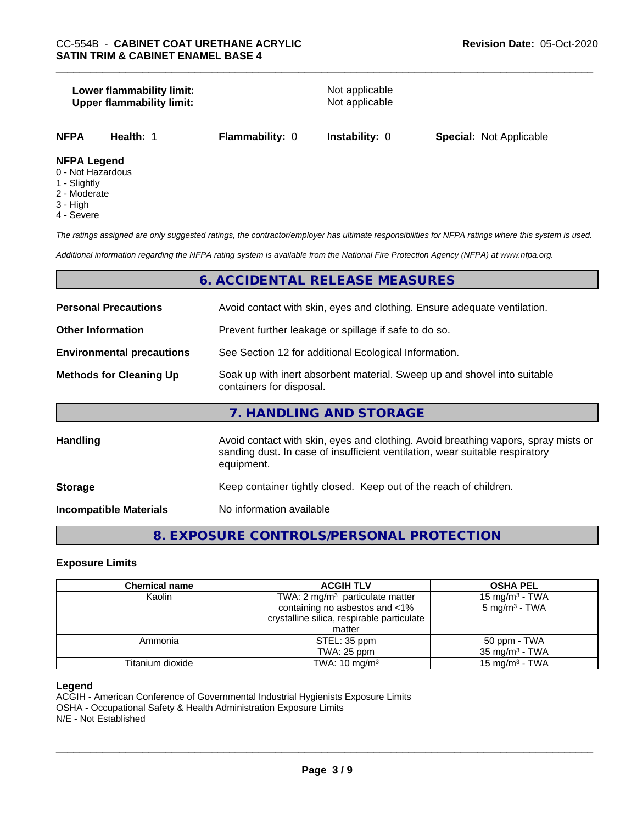#### **Lower flammability limit:**<br> **Upper flammability limit:**<br>
Upper flammability limit:<br>
Not applicable **Upper flammability limit:**

| <b>NFPA</b> | Health: 1 | <b>Flammability: 0</b> | Instability: 0 | <b>Special: Not Applicable</b> |  |
|-------------|-----------|------------------------|----------------|--------------------------------|--|
|             |           |                        |                |                                |  |

# **NFPA Legend**

- 0 Not Hazardous
- 1 Slightly
- 2 Moderate
- 3 High
- 4 Severe

*The ratings assigned are only suggested ratings, the contractor/employer has ultimate responsibilities for NFPA ratings where this system is used.*

*Additional information regarding the NFPA rating system is available from the National Fire Protection Agency (NFPA) at www.nfpa.org.*

# **6. ACCIDENTAL RELEASE MEASURES**

| <b>Personal Precautions</b>      | Avoid contact with skin, eyes and clothing. Ensure adequate ventilation.                                                                                                         |
|----------------------------------|----------------------------------------------------------------------------------------------------------------------------------------------------------------------------------|
| <b>Other Information</b>         | Prevent further leakage or spillage if safe to do so.                                                                                                                            |
| <b>Environmental precautions</b> | See Section 12 for additional Ecological Information.                                                                                                                            |
| <b>Methods for Cleaning Up</b>   | Soak up with inert absorbent material. Sweep up and shovel into suitable<br>containers for disposal.                                                                             |
|                                  | 7. HANDLING AND STORAGE                                                                                                                                                          |
| <b>Handling</b>                  | Avoid contact with skin, eyes and clothing. Avoid breathing vapors, spray mists or<br>sanding dust. In case of insufficient ventilation, wear suitable respiratory<br>equipment. |
| <b>Storage</b>                   | Keep container tightly closed. Keep out of the reach of children.                                                                                                                |
| <b>Incompatible Materials</b>    | No information available                                                                                                                                                         |

# **8. EXPOSURE CONTROLS/PERSONAL PROTECTION**

#### **Exposure Limits**

| <b>Chemical name</b> | <b>ACGIH TLV</b>                                                                                                                     | <b>OSHA PEL</b>                                        |
|----------------------|--------------------------------------------------------------------------------------------------------------------------------------|--------------------------------------------------------|
| Kaolin               | TWA: $2 \text{ mg/m}^3$ particulate matter<br>containing no asbestos and <1%<br>crystalline silica, respirable particulate<br>matter | 15 mg/m <sup>3</sup> - TWA<br>$5 \text{ mg/m}^3$ - TWA |
| Ammonia              | STEL: 35 ppm<br>TWA: 25 ppm                                                                                                          | 50 ppm - TWA<br>$35 \text{ mg/m}^3$ - TWA              |
| Titanium dioxide     | TWA: $10 \text{ mg/m}^3$                                                                                                             | 15 mg/m $3$ - TWA                                      |

#### **Legend**

ACGIH - American Conference of Governmental Industrial Hygienists Exposure Limits OSHA - Occupational Safety & Health Administration Exposure Limits N/E - Not Established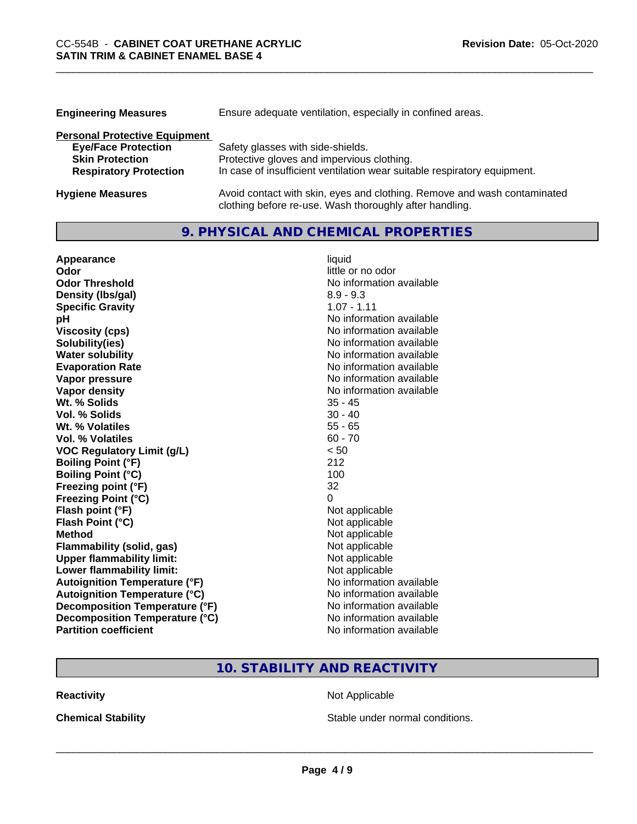| <b>Engineering Measures</b>          | Ensure adequate ventilation, especially in confined areas.               |
|--------------------------------------|--------------------------------------------------------------------------|
| <b>Personal Protective Equipment</b> |                                                                          |
| <b>Eye/Face Protection</b>           | Safety glasses with side-shields.                                        |
| <b>Skin Protection</b>               | Protective gloves and impervious clothing.                               |
| <b>Respiratory Protection</b>        | In case of insufficient ventilation wear suitable respiratory equipment. |
| <b>Hygiene Measures</b>              | Avoid contact with skin, eyes and clothing. Remove and wash contaminated |

clothing before re-use. Wash thoroughly after handling.

# **9. PHYSICAL AND CHEMICAL PROPERTIES**

| Appearance                            | liquid                   |
|---------------------------------------|--------------------------|
| Odor                                  | little or no odor        |
| <b>Odor Threshold</b>                 | No information available |
| Density (Ibs/gal)                     | $8.9 - 9.3$              |
| <b>Specific Gravity</b>               | $1.07 - 1.11$            |
| рH                                    | No information available |
| <b>Viscosity (cps)</b>                | No information available |
| Solubility(ies)                       | No information available |
| <b>Water solubility</b>               | No information available |
| <b>Evaporation Rate</b>               | No information available |
| Vapor pressure                        | No information available |
| <b>Vapor density</b>                  | No information available |
| Wt. % Solids                          | $35 - 45$                |
| <b>Vol. % Solids</b>                  | $30 - 40$                |
| Wt. % Volatiles                       | $55 - 65$                |
| Vol. % Volatiles                      | $60 - 70$                |
| <b>VOC Regulatory Limit (g/L)</b>     | < 50                     |
| <b>Boiling Point (°F)</b>             | 212                      |
| <b>Boiling Point (°C)</b>             | 100                      |
| Freezing point (°F)                   | 32                       |
| <b>Freezing Point (°C)</b>            | 0                        |
| Flash point (°F)                      | Not applicable           |
| Flash Point (°C)                      | Not applicable           |
| <b>Method</b>                         | Not applicable           |
| <b>Flammability (solid, gas)</b>      | Not applicable           |
| <b>Upper flammability limit:</b>      | Not applicable           |
| Lower flammability limit:             | Not applicable           |
| <b>Autoignition Temperature (°F)</b>  | No information available |
| <b>Autoignition Temperature (°C)</b>  | No information available |
| <b>Decomposition Temperature (°F)</b> | No information available |
| Decomposition Temperature (°C)        | No information available |
| <b>Partition coefficient</b>          | No information available |

# **10. STABILITY AND REACTIVITY**

**Reactivity Not Applicable** Not Applicable

**Chemical Stability Chemical Stability** Stable under normal conditions.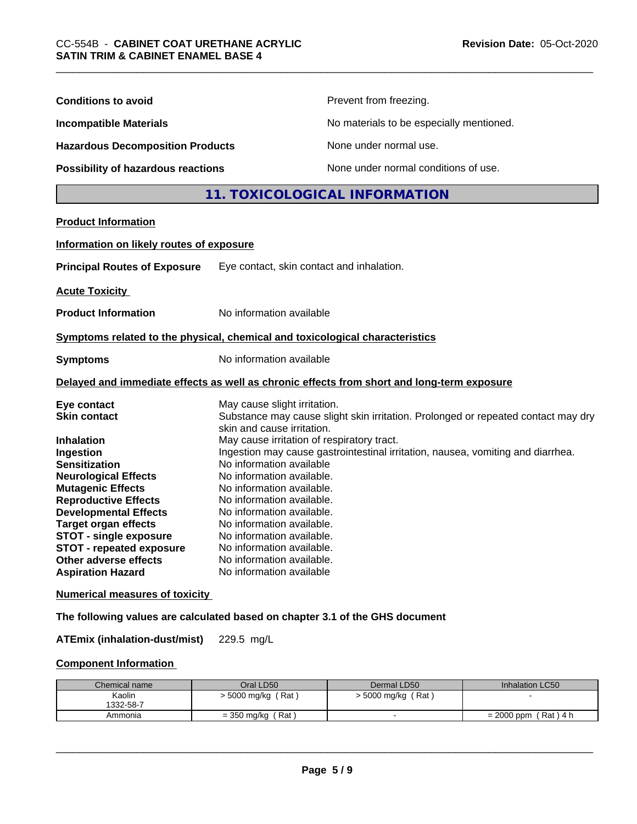| <b>Conditions to avoid</b>                                                                                                                                                           |                                                                                                                                                                           | Prevent from freezing.                                                            |                 |
|--------------------------------------------------------------------------------------------------------------------------------------------------------------------------------------|---------------------------------------------------------------------------------------------------------------------------------------------------------------------------|-----------------------------------------------------------------------------------|-----------------|
| <b>Incompatible Materials</b>                                                                                                                                                        |                                                                                                                                                                           | No materials to be especially mentioned.                                          |                 |
| <b>Hazardous Decomposition Products</b>                                                                                                                                              |                                                                                                                                                                           | None under normal use.                                                            |                 |
| Possibility of hazardous reactions                                                                                                                                                   |                                                                                                                                                                           | None under normal conditions of use.                                              |                 |
|                                                                                                                                                                                      |                                                                                                                                                                           | 11. TOXICOLOGICAL INFORMATION                                                     |                 |
| <b>Product Information</b>                                                                                                                                                           |                                                                                                                                                                           |                                                                                   |                 |
| Information on likely routes of exposure                                                                                                                                             |                                                                                                                                                                           |                                                                                   |                 |
| <b>Principal Routes of Exposure</b>                                                                                                                                                  | Eye contact, skin contact and inhalation.                                                                                                                                 |                                                                                   |                 |
| <b>Acute Toxicity</b>                                                                                                                                                                |                                                                                                                                                                           |                                                                                   |                 |
| <b>Product Information</b>                                                                                                                                                           | No information available                                                                                                                                                  |                                                                                   |                 |
| Symptoms related to the physical, chemical and toxicological characteristics                                                                                                         |                                                                                                                                                                           |                                                                                   |                 |
| <b>Symptoms</b>                                                                                                                                                                      | No information available                                                                                                                                                  |                                                                                   |                 |
| Delayed and immediate effects as well as chronic effects from short and long-term exposure                                                                                           |                                                                                                                                                                           |                                                                                   |                 |
| Eye contact<br><b>Skin contact</b>                                                                                                                                                   | May cause slight irritation.<br>skin and cause irritation.                                                                                                                | Substance may cause slight skin irritation. Prolonged or repeated contact may dry |                 |
| <b>Inhalation</b><br>Ingestion<br><b>Sensitization</b><br><b>Neurological Effects</b><br><b>Mutagenic Effects</b><br><b>Reproductive Effects</b>                                     | May cause irritation of respiratory tract.<br>No information available<br>No information available.<br>No information available.<br>No information available.             | Ingestion may cause gastrointestinal irritation, nausea, vomiting and diarrhea.   |                 |
| <b>Developmental Effects</b><br><b>Target organ effects</b><br><b>STOT - single exposure</b><br><b>STOT - repeated exposure</b><br>Other adverse effects<br><b>Aspiration Hazard</b> | No information available.<br>No information available.<br>No information available.<br>No information available.<br>No information available.<br>No information available |                                                                                   |                 |
| <b>Numerical measures of toxicity</b>                                                                                                                                                |                                                                                                                                                                           |                                                                                   |                 |
| The following values are calculated based on chapter 3.1 of the GHS document                                                                                                         |                                                                                                                                                                           |                                                                                   |                 |
| <b>ATEmix (inhalation-dust/mist)</b>                                                                                                                                                 | 229.5 mg/L                                                                                                                                                                |                                                                                   |                 |
| <b>Component Information</b>                                                                                                                                                         |                                                                                                                                                                           |                                                                                   |                 |
| Chemical name                                                                                                                                                                        | Oral LD50                                                                                                                                                                 | Dermal LD50                                                                       | Inhalation LC50 |

| Chemical name | Oral LD50               | Dermal LD50      | Inhalation LC50          |
|---------------|-------------------------|------------------|--------------------------|
| Kaolin        | ، Rat ا<br>∙ 5000 mg/kg | 5000 mg/kg (Rat) |                          |
| 1332-58-7     |                         |                  |                          |
| Ammonia       | ′ Rat<br>= 350 mg/kg    |                  | 「Rat)4 h<br>$= 2000$ ppm |
|               |                         |                  |                          |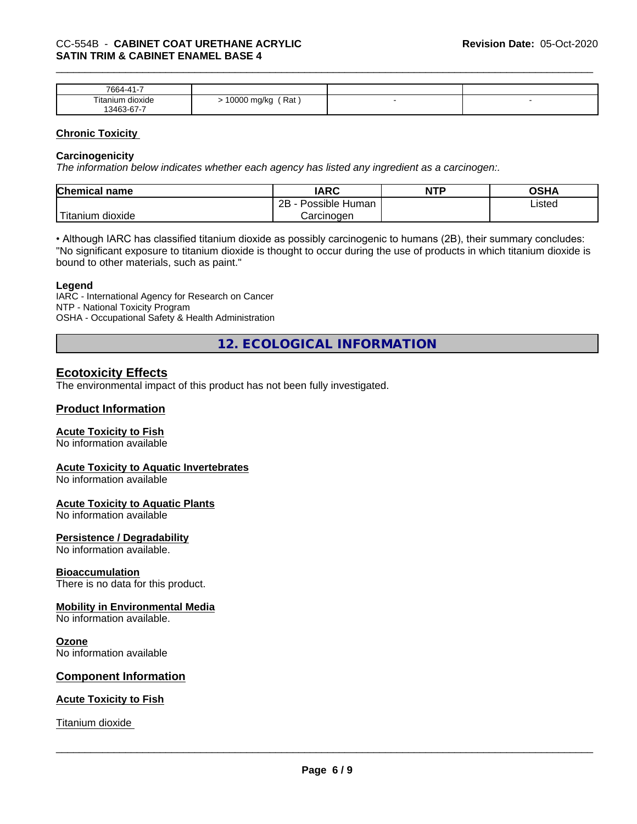| <b>7664-</b>     |                    |   |  |
|------------------|--------------------|---|--|
| Titanium dioxide | 10000 ma/ka<br>Rat | - |  |
| 13463-67-7       |                    |   |  |

#### **Chronic Toxicity**

#### **Carcinogenicity**

*The information below indicateswhether each agency has listed any ingredient as a carcinogen:.*

| <b>Chemical name</b>              | <b>IARC</b>                  | <b>NTP</b> | <b>OSHA</b> |
|-----------------------------------|------------------------------|------------|-------------|
|                                   | .<br>2B<br>Human<br>∽ossible |            | ∟isted      |
| $-1$<br>dioxide<br><b>itanium</b> | Carcinogen                   |            |             |

• Although IARC has classified titanium dioxide as possibly carcinogenic to humans (2B), their summary concludes: "No significant exposure to titanium dioxide is thought to occur during the use of products in which titanium dioxide is bound to other materials, such as paint."

#### **Legend**

IARC - International Agency for Research on Cancer NTP - National Toxicity Program OSHA - Occupational Safety & Health Administration

**12. ECOLOGICAL INFORMATION**

# **Ecotoxicity Effects**

The environmental impact of this product has not been fully investigated.

### **Product Information**

#### **Acute Toxicity to Fish**

No information available

#### **Acute Toxicity to Aquatic Invertebrates**

No information available

#### **Acute Toxicity to Aquatic Plants**

No information available

#### **Persistence / Degradability**

No information available.

#### **Bioaccumulation**

There is no data for this product.

#### **Mobility in Environmental Media**

No information available.

#### **Ozone**

No information available

#### **Component Information**

#### **Acute Toxicity to Fish**

Titanium dioxide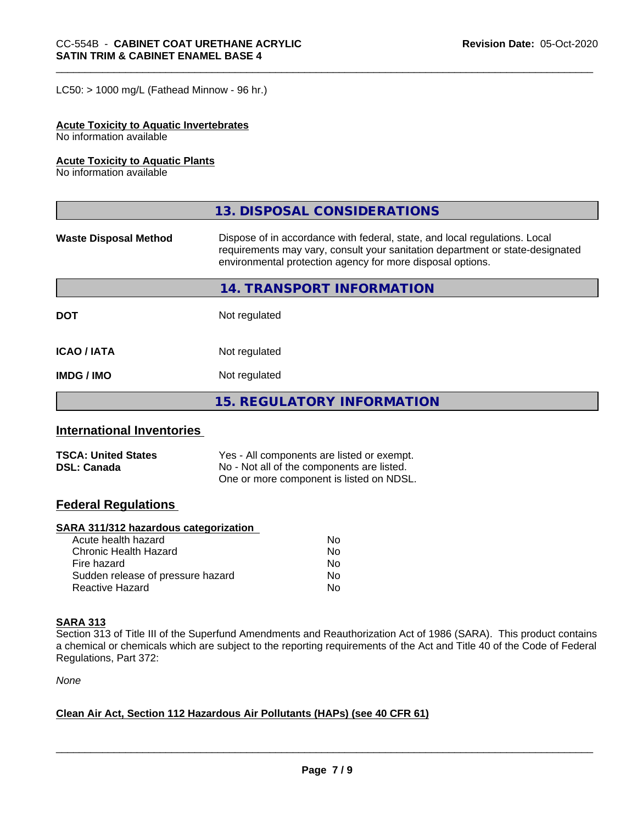$LC50:$  > 1000 mg/L (Fathead Minnow - 96 hr.)

#### **Acute Toxicity to Aquatic Invertebrates**

No information available

## **Acute Toxicity to Aquatic Plants**

No information available

|                              | 13. DISPOSAL CONSIDERATIONS                                                                                                                                                                                               |
|------------------------------|---------------------------------------------------------------------------------------------------------------------------------------------------------------------------------------------------------------------------|
| <b>Waste Disposal Method</b> | Dispose of in accordance with federal, state, and local regulations. Local<br>requirements may vary, consult your sanitation department or state-designated<br>environmental protection agency for more disposal options. |
|                              | 14. TRANSPORT INFORMATION                                                                                                                                                                                                 |
| <b>DOT</b>                   | Not regulated                                                                                                                                                                                                             |
| <b>ICAO/IATA</b>             | Not regulated                                                                                                                                                                                                             |
| <b>IMDG / IMO</b>            | Not regulated                                                                                                                                                                                                             |
|                              | <b>15. REGULATORY INFORMATION</b>                                                                                                                                                                                         |

# **International Inventories**

| <b>TSCA: United States</b> | Yes - All components are listed or exempt. |
|----------------------------|--------------------------------------------|
| <b>DSL: Canada</b>         | No - Not all of the components are listed. |
|                            | One or more component is listed on NDSL.   |

# **Federal Regulations**

### **SARA 311/312 hazardous categorization**

| Acute health hazard               | No |  |
|-----------------------------------|----|--|
| Chronic Health Hazard             | Nο |  |
| Fire hazard                       | Nο |  |
| Sudden release of pressure hazard | Nο |  |
| Reactive Hazard                   | Nο |  |

#### **SARA 313**

Section 313 of Title III of the Superfund Amendments and Reauthorization Act of 1986 (SARA). This product contains a chemical or chemicals which are subject to the reporting requirements of the Act and Title 40 of the Code of Federal Regulations, Part 372:

*None*

## **Clean Air Act,Section 112 Hazardous Air Pollutants (HAPs) (see 40 CFR 61)**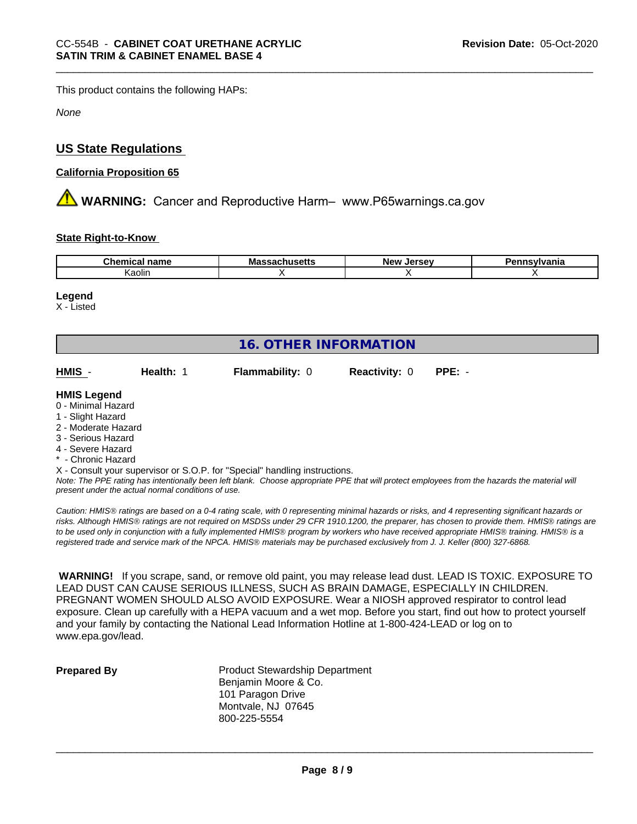This product contains the following HAPs:

*None*

# **US State Regulations**

## **California Proposition 65**

**A WARNING:** Cancer and Reproductive Harm– www.P65warnings.ca.gov

## **State Right-to-Know**

| ∽he∽<br>name<br>тнса | .,<br>Mass<br>nuscus | New<br>וום ה<br>ıo<br>--- | vivania |
|----------------------|----------------------|---------------------------|---------|
| Kaolin               |                      |                           |         |

#### **Legend**

X - Listed

| <b>16. OTHER INFORMATION</b>                                  |                  |                                                                            |                      |          |  |  |  |  |
|---------------------------------------------------------------|------------------|----------------------------------------------------------------------------|----------------------|----------|--|--|--|--|
| HMIS -                                                        | <b>Health: 1</b> | <b>Flammability: 0</b>                                                     | <b>Reactivity: 0</b> | $PPE: -$ |  |  |  |  |
| <b>HMIS Legend</b><br>0 - Minimal Hazard<br>1 - Slight Hazard |                  |                                                                            |                      |          |  |  |  |  |
| 2 - Moderate Hazard<br>3 - Serious Hazard                     |                  |                                                                            |                      |          |  |  |  |  |
| 4 - Severe Hazard                                             |                  |                                                                            |                      |          |  |  |  |  |
| * - Chronic Hazard                                            |                  |                                                                            |                      |          |  |  |  |  |
|                                                               |                  | X - Consult your supervisor or S.O.P. for "Special" handling instructions. |                      |          |  |  |  |  |

*Note: The PPE rating has intentionally been left blank. Choose appropriate PPE that will protect employees from the hazards the material will present under the actual normal conditions of use.*

*Caution: HMISÒ ratings are based on a 0-4 rating scale, with 0 representing minimal hazards or risks, and 4 representing significant hazards or risks. Although HMISÒ ratings are not required on MSDSs under 29 CFR 1910.1200, the preparer, has chosen to provide them. HMISÒ ratings are to be used only in conjunction with a fully implemented HMISÒ program by workers who have received appropriate HMISÒ training. HMISÒ is a registered trade and service mark of the NPCA. HMISÒ materials may be purchased exclusively from J. J. Keller (800) 327-6868.*

 **WARNING!** If you scrape, sand, or remove old paint, you may release lead dust. LEAD IS TOXIC. EXPOSURE TO LEAD DUST CAN CAUSE SERIOUS ILLNESS, SUCH AS BRAIN DAMAGE, ESPECIALLY IN CHILDREN. PREGNANT WOMEN SHOULD ALSO AVOID EXPOSURE. Wear a NIOSH approved respirator to control lead exposure. Clean up carefully with a HEPA vacuum and a wet mop. Before you start, find out how to protect yourself and your family by contacting the National Lead Information Hotline at 1-800-424-LEAD or log on to www.epa.gov/lead.

**Prepared By** Product Stewardship Department Benjamin Moore & Co. 101 Paragon Drive Montvale, NJ 07645 800-225-5554